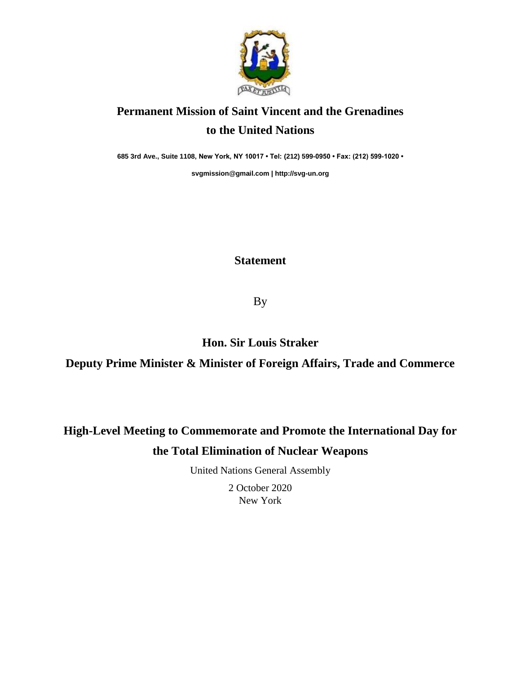

## **Permanent Mission of Saint Vincent and the Grenadines to the United Nations**

**685 3rd Ave., Suite 1108, New York, NY 10017 • Tel: (212) 599-0950 • Fax: (212) 599-1020 •** 

**[svgmission@gmail.com](mailto:svgmission@gmail.com) [| http://svg-un.org](http://svg-un.org/)**

## **Statement**

By

**Hon. Sir Louis Straker**

**Deputy Prime Minister & Minister of Foreign Affairs, Trade and Commerce**

## **High-Level Meeting to Commemorate and Promote the International Day for the Total Elimination of Nuclear Weapons**

United Nations General Assembly

2 October 2020 New York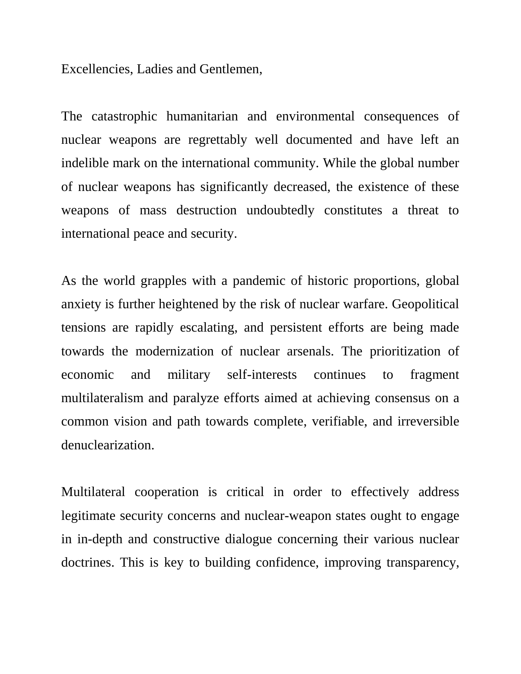Excellencies, Ladies and Gentlemen,

The catastrophic humanitarian and environmental consequences of nuclear weapons are regrettably well documented and have left an indelible mark on the international community. While the global number of nuclear weapons has significantly decreased, the existence of these weapons of mass destruction undoubtedly constitutes a threat to international peace and security.

As the world grapples with a pandemic of historic proportions, global anxiety is further heightened by the risk of nuclear warfare. Geopolitical tensions are rapidly escalating, and persistent efforts are being made towards the modernization of nuclear arsenals. The prioritization of economic and military self-interests continues to fragment multilateralism and paralyze efforts aimed at achieving consensus on a common vision and path towards complete, verifiable, and irreversible denuclearization.

Multilateral cooperation is critical in order to effectively address legitimate security concerns and nuclear-weapon states ought to engage in in-depth and constructive dialogue concerning their various nuclear doctrines. This is key to building confidence, improving transparency,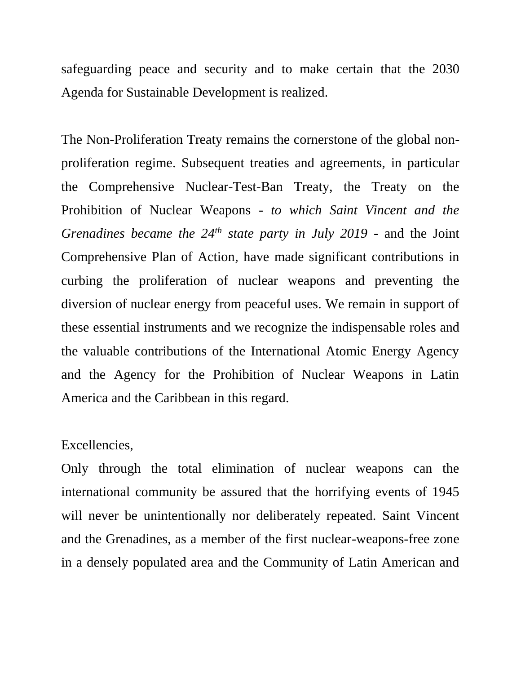safeguarding peace and security and to make certain that the 2030 Agenda for Sustainable Development is realized.

The Non-Proliferation Treaty remains the cornerstone of the global nonproliferation regime. Subsequent treaties and agreements, in particular the Comprehensive Nuclear-Test-Ban Treaty, the Treaty on the Prohibition of Nuclear Weapons - *to which Saint Vincent and the Grenadines became the 24th state party in July 2019* - and the Joint Comprehensive Plan of Action, have made significant contributions in curbing the proliferation of nuclear weapons and preventing the diversion of nuclear energy from peaceful uses. We remain in support of these essential instruments and we recognize the indispensable roles and the valuable contributions of the International Atomic Energy Agency and the Agency for the Prohibition of Nuclear Weapons in Latin America and the Caribbean in this regard.

## Excellencies,

Only through the total elimination of nuclear weapons can the international community be assured that the horrifying events of 1945 will never be unintentionally nor deliberately repeated. Saint Vincent and the Grenadines, as a member of the first nuclear-weapons-free zone in a densely populated area and the Community of Latin American and